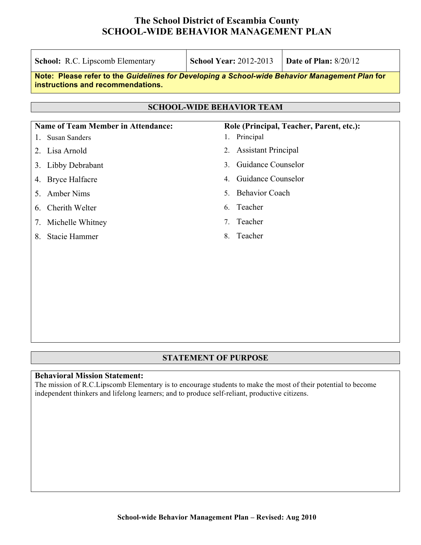| <b>School:</b> R.C. Lipscomb Elementary                                                                                             | <b>School Year: 2012-2013</b>            | <b>Date of Plan: 8/20/12</b> |  |  |  |  |  |
|-------------------------------------------------------------------------------------------------------------------------------------|------------------------------------------|------------------------------|--|--|--|--|--|
| Note: Please refer to the Guidelines for Developing a School-wide Behavior Management Plan for<br>instructions and recommendations. |                                          |                              |  |  |  |  |  |
|                                                                                                                                     |                                          |                              |  |  |  |  |  |
| <b>SCHOOL-WIDE BEHAVIOR TEAM</b>                                                                                                    |                                          |                              |  |  |  |  |  |
| <b>Name of Team Member in Attendance:</b>                                                                                           | Role (Principal, Teacher, Parent, etc.): |                              |  |  |  |  |  |
| <b>Susan Sanders</b><br>$\mathbf{L}$                                                                                                | Principal                                |                              |  |  |  |  |  |
| Lisa Arnold<br>2                                                                                                                    | <b>Assistant Principal</b><br>$2_{-}$    |                              |  |  |  |  |  |
| Libby Debrabant<br>3.                                                                                                               | Guidance Counselor<br>$\mathcal{E}$      |                              |  |  |  |  |  |
| 4. Bryce Halfacre                                                                                                                   | Guidance Counselor<br>4                  |                              |  |  |  |  |  |
| <b>Amber Nims</b><br>5                                                                                                              | <b>Behavior Coach</b><br>5.              |                              |  |  |  |  |  |
| Cherith Welter<br>6.                                                                                                                | Teacher<br>6                             |                              |  |  |  |  |  |
| Michelle Whitney<br>7.                                                                                                              | Teacher<br>$7^{\circ}$                   |                              |  |  |  |  |  |
| Stacie Hammer<br>8                                                                                                                  | Teacher<br>8                             |                              |  |  |  |  |  |
|                                                                                                                                     |                                          |                              |  |  |  |  |  |
|                                                                                                                                     |                                          |                              |  |  |  |  |  |
|                                                                                                                                     |                                          |                              |  |  |  |  |  |

### **STATEMENT OF PURPOSE**

#### **Behavioral Mission Statement:**

The mission of R.C.Lipscomb Elementary is to encourage students to make the most of their potential to become independent thinkers and lifelong learners; and to produce self-reliant, productive citizens.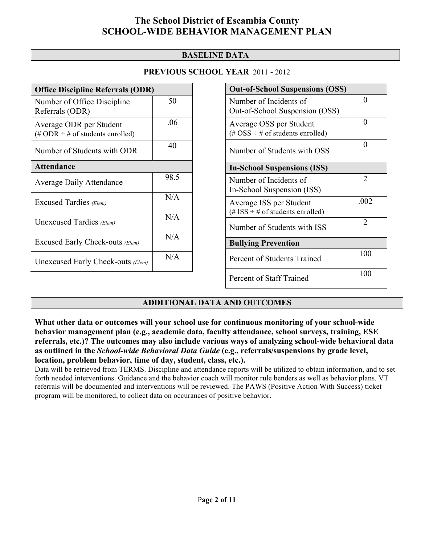### **BASELINE DATA**

| <b>Office Discipline Referrals (ODR)</b>                                         |      |  |  |  |
|----------------------------------------------------------------------------------|------|--|--|--|
| Number of Office Discipline<br>Referrals (ODR)                                   | 50   |  |  |  |
| Average ODR per Student<br>$(\text{\# ODR} \div \text{\# of students enrolled})$ | .06  |  |  |  |
| Number of Students with ODR                                                      | 40   |  |  |  |
| <b>Attendance</b>                                                                |      |  |  |  |
| <b>Average Daily Attendance</b>                                                  | 98.5 |  |  |  |
| Excused Tardies (Elem)                                                           | N/A  |  |  |  |
| Unexcused Tardies (Elem)                                                         | N/A  |  |  |  |
| Excused Early Check-outs (Elem)                                                  | N/A  |  |  |  |
| Unexcused Early Check-outs (Elem)                                                | N/A  |  |  |  |

| <b>Out-of-School Suspensions (OSS)</b>                                                          |      |  |  |  |  |
|-------------------------------------------------------------------------------------------------|------|--|--|--|--|
| Number of Incidents of<br>Out-of-School Suspension (OSS)                                        | 0    |  |  |  |  |
| Average OSS per Student<br>$(\text{\#} \text{OSS} \div \text{\#} \text{ of students enrolled})$ | 0    |  |  |  |  |
| Number of Students with OSS                                                                     | 0    |  |  |  |  |
| <b>In-School Suspensions (ISS)</b>                                                              |      |  |  |  |  |
| Number of Incidents of<br>In-School Suspension (ISS)                                            | 2    |  |  |  |  |
| Average ISS per Student<br>(# ISS $\div$ # of students enrolled)                                | .002 |  |  |  |  |
| Number of Students with ISS                                                                     | 2    |  |  |  |  |
| <b>Bullying Prevention</b>                                                                      |      |  |  |  |  |
| Percent of Students Trained                                                                     | 100  |  |  |  |  |
| Percent of Staff Trained                                                                        | 100  |  |  |  |  |

## **ADDITIONAL DATA AND OUTCOMES**

**What other data or outcomes will your school use for continuous monitoring of your school-wide behavior management plan (e.g., academic data, faculty attendance, school surveys, training, ESE referrals, etc.)? The outcomes may also include various ways of analyzing school-wide behavioral data as outlined in the** *School-wide Behavioral Data Guide* **(e.g., referrals/suspensions by grade level, location, problem behavior, time of day, student, class, etc.).**

Data will be retrieved from TERMS. Discipline and attendance reports will be utilized to obtain information, and to set forth needed interventions. Guidance and the behavior coach will monitor rule benders as well as behavior plans. VT referrals will be documented and interventions will be reviewed. The PAWS (Positive Action With Success) ticket program will be monitored, to collect data on occurances of positive behavior.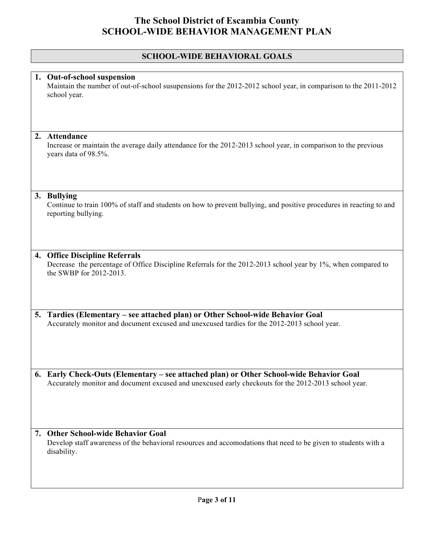## **SCHOOL-WIDE BEHAVIORAL GOALS**

|    | 1. Out-of-school suspension<br>Maintain the number of out-of-school susupensions for the 2012-2012 school year, in comparison to the 2011-2012<br>school year.                                  |  |  |  |
|----|-------------------------------------------------------------------------------------------------------------------------------------------------------------------------------------------------|--|--|--|
|    |                                                                                                                                                                                                 |  |  |  |
| 2. | Attendance<br>Increase or maintain the average daily attendance for the 2012-2013 school year, in comparison to the previous<br>years data of 98.5%.                                            |  |  |  |
|    | 3. Bullying<br>Continue to train 100% of staff and students on how to prevent bullying, and positive procedures in reacting to and<br>reporting bullying.                                       |  |  |  |
|    | 4. Office Discipline Referrals<br>Decrease the percentage of Office Discipline Referrals for the 2012-2013 school year by 1%, when compared to<br>the SWBP for 2012-2013.                       |  |  |  |
| 5. | Tardies (Elementary – see attached plan) or Other School-wide Behavior Goal<br>Accurately monitor and document excused and unexcused tardies for the 2012-2013 school year.                     |  |  |  |
|    | 6. Early Check-Outs (Elementary – see attached plan) or Other School-wide Behavior Goal<br>Accurately monitor and document excused and unexcused early checkouts for the 2012-2013 school year. |  |  |  |
| 7. | <b>Other School-wide Behavior Goal</b><br>Develop staff awareness of the behavioral resources and accomodations that need to be given to students with a<br>disability.                         |  |  |  |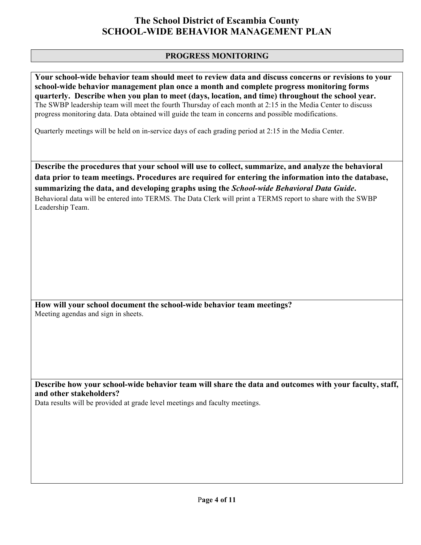### **PROGRESS MONITORING**

**Your school-wide behavior team should meet to review data and discuss concerns or revisions to your school-wide behavior management plan once a month and complete progress monitoring forms quarterly. Describe when you plan to meet (days, location, and time) throughout the school year.** The SWBP leadership team will meet the fourth Thursday of each month at 2:15 in the Media Center to discuss progress monitoring data. Data obtained will guide the team in concerns and possible modifications.

Quarterly meetings will be held on in-service days of each grading period at 2:15 in the Media Center.

**Describe the procedures that your school will use to collect, summarize, and analyze the behavioral data prior to team meetings. Procedures are required for entering the information into the database, summarizing the data, and developing graphs using the** *School-wide Behavioral Data Guide***.** Behavioral data will be entered into TERMS. The Data Clerk will print a TERMS report to share with the SWBP Leadership Team.

**How will your school document the school-wide behavior team meetings?** Meeting agendas and sign in sheets.

**Describe how your school-wide behavior team will share the data and outcomes with your faculty, staff, and other stakeholders?**

Data results will be provided at grade level meetings and faculty meetings.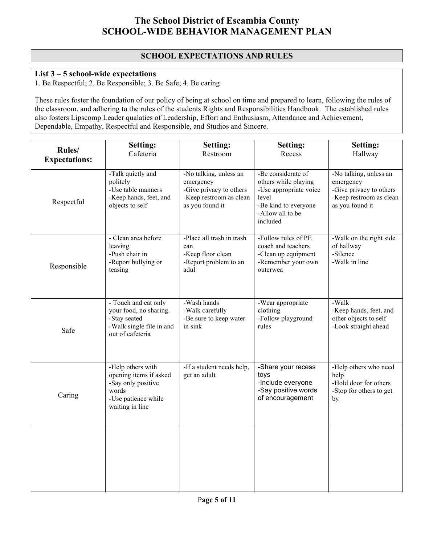### **SCHOOL EXPECTATIONS AND RULES**

## **List 3 – 5 school-wide expectations**

1. Be Respectful; 2. Be Responsible; 3. Be Safe; 4. Be caring

These rules foster the foundation of our policy of being at school on time and prepared to learn, following the rules of the classroom, and adhering to the rules of the students Rights and Responsibilities Handbook. The established rules also fosters Lipscomp Leader qualaties of Leadership, Effort and Enthusiasm, Attendance and Achievement, Dependable, Empathy, Respectful and Responsible, and Studios and Sincere.

| Rules/<br><b>Expectations:</b> | Setting:<br>Cafeteria                                                                                                | <b>Setting:</b><br>Restroom                                                                                  | Setting:<br>Recess                                                                                                                    | Setting:<br>Hallway                                                                                          |
|--------------------------------|----------------------------------------------------------------------------------------------------------------------|--------------------------------------------------------------------------------------------------------------|---------------------------------------------------------------------------------------------------------------------------------------|--------------------------------------------------------------------------------------------------------------|
| Respectful                     | -Talk quietly and<br>politely<br>-Use table manners<br>-Keep hands, feet, and<br>objects to self                     | -No talking, unless an<br>emergency<br>-Give privacy to others<br>-Keep restroom as clean<br>as you found it | -Be considerate of<br>others while playing<br>-Use appropriate voice<br>level<br>-Be kind to everyone<br>-Allow all to be<br>included | -No talking, unless an<br>emergency<br>-Give privacy to others<br>-Keep restroom as clean<br>as you found it |
| Responsible                    | - Clean area before<br>leaving.<br>-Push chair in<br>-Report bullying or<br>teasing                                  | -Place all trash in trash<br>can<br>-Keep floor clean<br>-Report problem to an<br>adul                       | -Follow rules of PE<br>coach and teachers<br>-Clean up equipment<br>-Remember your own<br>outerwea                                    | -Walk on the right side<br>of hallway<br>-Silence<br>-Walk in line                                           |
| Safe                           | - Touch and eat only<br>your food, no sharing.<br>-Stay seated<br>-Walk single file in and<br>out of cafeteria       | -Wash hands<br>-Walk carefully<br>-Be sure to keep water<br>in sink                                          | -Wear appropriate<br>clothing<br>-Follow playground<br>rules                                                                          | -Walk<br>-Keep hands, feet, and<br>other objects to self<br>-Look straight ahead                             |
| Caring                         | -Help others with<br>opening items if asked<br>-Say only positive<br>words<br>-Use patience while<br>waiting in line | -If a student needs help,<br>get an adult                                                                    | -Share your recess<br>toys<br>-Include everyone<br>-Say positive words<br>of encouragement                                            | -Help others who need<br>help<br>-Hold door for others<br>-Stop for others to get<br>by                      |
|                                |                                                                                                                      |                                                                                                              |                                                                                                                                       |                                                                                                              |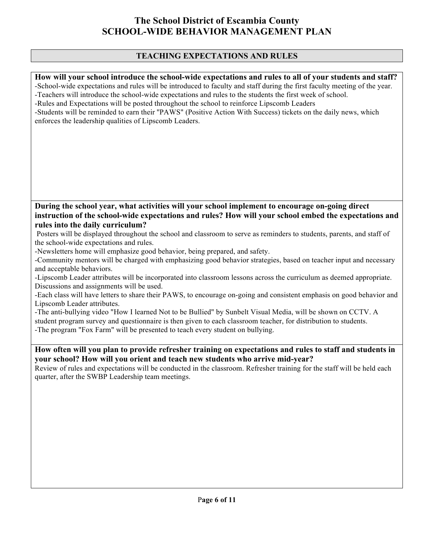### **TEACHING EXPECTATIONS AND RULES**

#### **How will your school introduce the school-wide expectations and rules to all of your students and staff?**

-School-wide expectations and rules will be introduced to faculty and staff during the first faculty meeting of the year. -Teachers will introduce the school-wide expectations and rules to the students the first week of school.

-Rules and Expectations will be posted throughout the school to reinforce Lipscomb Leaders

-Students will be reminded to earn their ''PAWS" (Positive Action With Success) tickets on the daily news, which enforces the leadership qualities of Lipscomb Leaders.

#### **During the school year, what activities will your school implement to encourage on-going direct instruction of the school-wide expectations and rules? How will your school embed the expectations and rules into the daily curriculum?**

 Posters will be displayed throughout the school and classroom to serve as reminders to students, parents, and staff of the school-wide expectations and rules.

-Newsletters home will emphasize good behavior, being prepared, and safety.

-Community mentors will be charged with emphasizing good behavior strategies, based on teacher input and necessary and acceptable behaviors.

-Lipscomb Leader attributes will be incorporated into classroom lessons across the curriculum as deemed appropriate. Discussions and assignments will be used.

-Each class will have letters to share their PAWS, to encourage on-going and consistent emphasis on good behavior and Lipscomb Leader attributes.

-The anti-bullying video "How I learned Not to be Bullied" by Sunbelt Visual Media, will be shown on CCTV. A student program survey and questionnaire is then given to each classroom teacher, for distribution to students. -The program "Fox Farm" will be presented to teach every student on bullying.

### **How often will you plan to provide refresher training on expectations and rules to staff and students in your school? How will you orient and teach new students who arrive mid-year?**

Review of rules and expectations will be conducted in the classroom. Refresher training for the staff will be held each quarter, after the SWBP Leadership team meetings.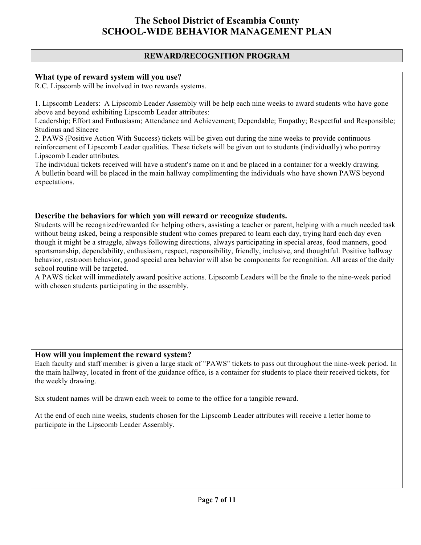### **REWARD/RECOGNITION PROGRAM**

#### **What type of reward system will you use?**

R.C. Lipscomb will be involved in two rewards systems.

1. Lipscomb Leaders: A Lipscomb Leader Assembly will be help each nine weeks to award students who have gone above and beyond exhibiting Lipscomb Leader attributes:

Leadership; Effort and Enthusiasm; Attendance and Achievement; Dependable; Empathy; Respectful and Responsible; Studious and Sincere

2. PAWS (Positive Action With Success) tickets will be given out during the nine weeks to provide continuous reinforcement of Lipscomb Leader qualities. These tickets will be given out to students (individually) who portray Lipscomb Leader attributes.

The individual tickets received will have a student's name on it and be placed in a container for a weekly drawing. A bulletin board will be placed in the main hallway complimenting the individuals who have shown PAWS beyond expectations.

#### **Describe the behaviors for which you will reward or recognize students.**

Students will be recognized/rewarded for helping others, assisting a teacher or parent, helping with a much needed task without being asked, being a responsible student who comes prepared to learn each day, trying hard each day even though it might be a struggle, always following directions, always participating in special areas, food manners, good sportsmanship, dependability, enthusiasm, respect, responsibility, friendly, inclusive, and thoughtful. Positive hallway behavior, restroom behavior, good special area behavior will also be components for recognition. All areas of the daily school routine will be targeted.

A PAWS ticket will immediately award positive actions. Lipscomb Leaders will be the finale to the nine-week period with chosen students participating in the assembly.

#### **How will you implement the reward system?**

Each faculty and staff member is given a large stack of "PAWS" tickets to pass out throughout the nine-week period. In the main hallway, located in front of the guidance office, is a container for students to place their received tickets, for the weekly drawing.

Six student names will be drawn each week to come to the office for a tangible reward.

At the end of each nine weeks, students chosen for the Lipscomb Leader attributes will receive a letter home to participate in the Lipscomb Leader Assembly.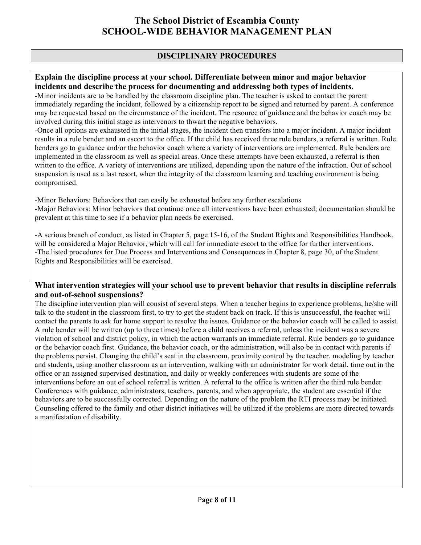### **DISCIPLINARY PROCEDURES**

#### **Explain the discipline process at your school. Differentiate between minor and major behavior incidents and describe the process for documenting and addressing both types of incidents.**

-Minor incidents are to be handled by the classroom discipline plan. The teacher is asked to contact the parent immediately regarding the incident, followed by a citizenship report to be signed and returned by parent. A conference may be requested based on the circumstance of the incident. The resource of guidance and the behavior coach may be involved during this initial stage as intervenors to thwart the negative behaviors.

-Once all options are exhausted in the initial stages, the incident then transfers into a major incident. A major incident results in a rule bender and an escort to the office. If the child has received three rule benders, a referral is written. Rule benders go to guidance and/or the behavior coach where a variety of interventions are implemented. Rule benders are implemented in the classroom as well as special areas. Once these attempts have been exhausted, a referral is then written to the office. A variety of interventions are utilized, depending upon the nature of the infraction. Out of school suspension is used as a last resort, when the integrity of the classroom learning and teaching environment is being compromised.

-Minor Behaviors: Behaviors that can easily be exhausted before any further escalations -Major Behaviors: Minor behaviors that continue once all interventions have been exhausted; documentation should be prevalent at this time to see if a behavior plan needs be exercised.

-A serious breach of conduct, as listed in Chapter 5, page 15-16, of the Student Rights and Responsibilities Handbook, will be considered a Major Behavior, which will call for immediate escort to the office for further interventions. -The listed procedures for Due Process and Interventions and Consequences in Chapter 8, page 30, of the Student Rights and Responsibilities will be exercised.

#### **What intervention strategies will your school use to prevent behavior that results in discipline referrals and out-of-school suspensions?**

The discipline intervention plan will consist of several steps. When a teacher begins to experience problems, he/she will talk to the student in the classroom first, to try to get the student back on track. If this is unsuccessful, the teacher will contact the parents to ask for home support to resolve the issues. Guidance or the behavior coach will be called to assist. A rule bender will be written (up to three times) before a child receives a referral, unless the incident was a severe violation of school and district policy, in which the action warrants an immediate referral. Rule benders go to guidance or the behavior coach first. Guidance, the behavior coach, or the administration, will also be in contact with parents if the problems persist. Changing the child's seat in the classroom, proximity control by the teacher, modeling by teacher and students, using another classroom as an intervention, walking with an administrator for work detail, time out in the office or an assigned supervised destination, and daily or weekly conferences with students are some of the interventions before an out of school referral is written. A referral to the office is written after the third rule bender Conferences with guidance, administrators, teachers, parents, and when appropriate, the student are essential if the behaviors are to be successfully corrected. Depending on the nature of the problem the RTI process may be initiated. Counseling offered to the family and other district initiatives will be utilized if the problems are more directed towards a manifestation of disability.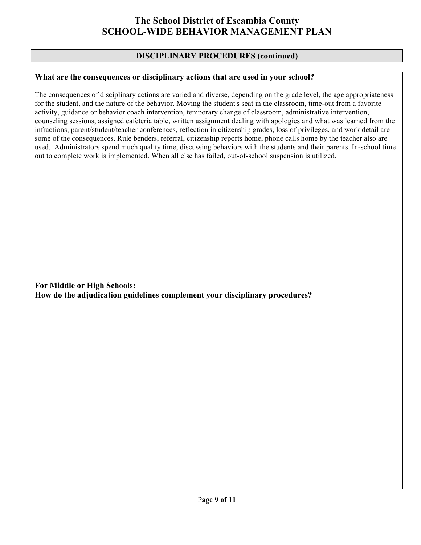### **DISCIPLINARY PROCEDURES (continued)**

### **What are the consequences or disciplinary actions that are used in your school?**

The consequences of disciplinary actions are varied and diverse, depending on the grade level, the age appropriateness for the student, and the nature of the behavior. Moving the student's seat in the classroom, time-out from a favorite activity, guidance or behavior coach intervention, temporary change of classroom, administrative intervention, counseling sessions, assigned cafeteria table, written assignment dealing with apologies and what was learned from the infractions, parent/student/teacher conferences, reflection in citizenship grades, loss of privileges, and work detail are some of the consequences. Rule benders, referral, citizenship reports home, phone calls home by the teacher also are used. Administrators spend much quality time, discussing behaviors with the students and their parents. In-school time out to complete work is implemented. When all else has failed, out-of-school suspension is utilized.

**For Middle or High Schools: How do the adjudication guidelines complement your disciplinary procedures?**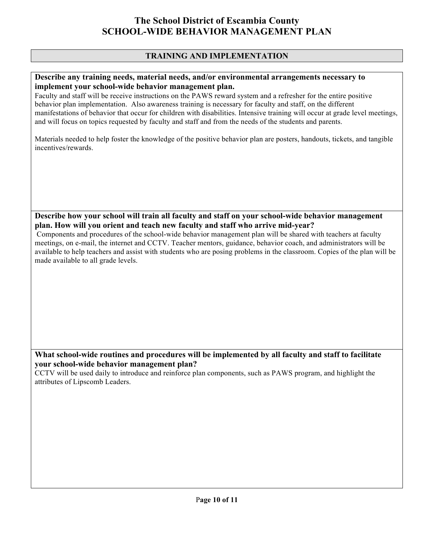### **TRAINING AND IMPLEMENTATION**

#### **Describe any training needs, material needs, and/or environmental arrangements necessary to implement your school-wide behavior management plan.**

Faculty and staff will be receive instructions on the PAWS reward system and a refresher for the entire positive behavior plan implementation. Also awareness training is necessary for faculty and staff, on the different manifestations of behavior that occur for children with disabilities. Intensive training will occur at grade level meetings, and will focus on topics requested by faculty and staff and from the needs of the students and parents.

Materials needed to help foster the knowledge of the positive behavior plan are posters, handouts, tickets, and tangible incentives/rewards.

**Describe how your school will train all faculty and staff on your school-wide behavior management plan. How will you orient and teach new faculty and staff who arrive mid-year?**

 Components and procedures of the school-wide behavior management plan will be shared with teachers at faculty meetings, on e-mail, the internet and CCTV. Teacher mentors, guidance, behavior coach, and administrators will be available to help teachers and assist with students who are posing problems in the classroom. Copies of the plan will be made available to all grade levels.

### **What school-wide routines and procedures will be implemented by all faculty and staff to facilitate your school-wide behavior management plan?**

CCTV will be used daily to introduce and reinforce plan components, such as PAWS program, and highlight the attributes of Lipscomb Leaders.